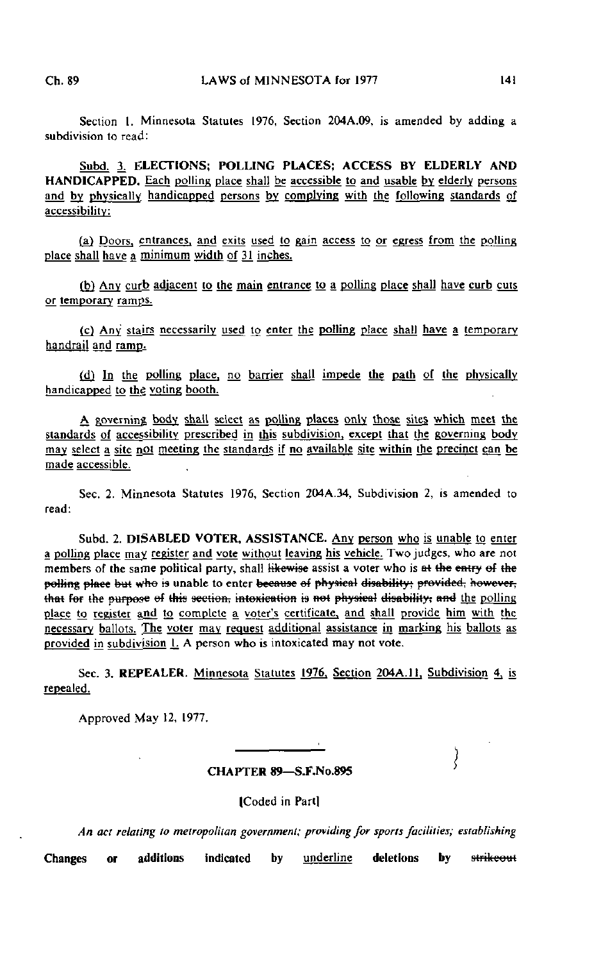Section 1. Minnesota Statutes 1976, Section 204A.09, is amended by adding a subdivision to read:

Subd. 3. ELECTIONS: POLLING PLACES; ACCESS BY ELDERLY AND HANDICAPPED. Each polling place shall be accessible to and usable by elderly persons and by physically handicapped persons by complying with the following standards of accessibility:

(a) Doors, entrances, and exits used to gain access to or egress from the polling place shall have a minimum width of 31 inches.

(b) Any curb adjacent to the main entrance to a polling place shall have curb cuts or temporary ramgs.

(c) Any stairs necessarily used to enter the polling place shall have a temporary handrail and ramp.

(d) In the polling place, no barrier shall impede the path of the physically handicapped to the voting booth.

A governing, body shall select as polling places only those sites which meet the standards of accessibility prescribed in this subdivision, except that the governing body may select a site not meeting the standards if no available site within the precinct can be made accessible.

Sec. 2. Minnesota Statutes 1976, Section 204A.34, Subdivision 2, is amended to read:

Subd. 2. DISABLED VOTER, ASSISTANCE. Any person who is unable to enter a polling place may register and vote without leaving his vehicle. Two judges, who are not members of the same political party, shall likewise assist a voter who is at the entry of the polling place but who is unable to enter because of physical disability; provided, however, that for the purpose of this section, intoxication is not physical disability; and the polling place to register and to complete a voter's certificate, and shall provide him with the necessary ballots. The voter may request additional assistance in marking his ballots as provided in subdivision  $L$ . A person who is intoxicated may not vote.

Sec. 3. REPEALER. Minnesota Statutes 1976. Section 204A.11. Subdivision 4, is repealed.

Approved May 12, 1977.

CHAPTER 89—S.F.No.895

Ì

(Coded in Part)

An aci relating to metropolitan government; providing for spans facilities; establishing Changes or additions indicated by underline deletions by strikeout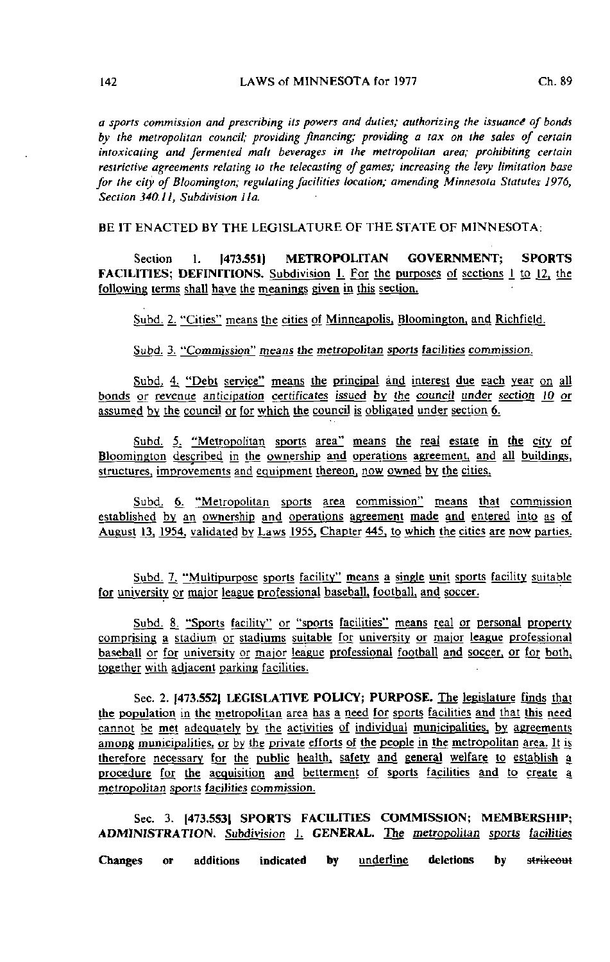a sports commission and prescribing its powers and duties; authorizing the issuance of bonds by the metropolitan council; providing financing; providing a rax on the sales of certain intoxicating and fermented matt beverages in the metropolitan area; prohibiting certain restrictive agreements relating to the telecasting of games; increasing the levy limitation base for the city of Bloomington; regulating facilities location; amending Minnesota Statutes 1976, Section 340.11, Subdivision 11a.

BE IT ENACTED BY THE LEGISLATURE OF THE STATE OF MINNESOTA:

Section 1. [473.551] METROPOLITAN GOVERNMENT; SPORTS FACILITIES; DEFINITIONS. Subdivision 1. For the purposes of sections 1 to 12, the following terms shall have the meanings given in this section.

Subd. 2. "Cities" means the cities of Minneapolis, Bloomington, and Richfield.

Subd. 3. "Commission" means the metropolitan sports facilities commission.

Subd. 4. "Debt service" means the principal and interest due each year on all bonds or revenue anticipation certificates issued by the council under section JO or assumed by the council or for which the council is obligated under section 6.

Subd. 5. "Metropolitan sports area" means the real estate in the city of Bloomington described in the ownership and operations agreement, and all buildings, structures, improvements and equipment thereon, now owned by the cities.

Subd. 6. "Metropolitan sports area commission" means that commission established by an ownership and operations agreement made and entered into as of August 13, 1954, validated by Laws 1955. Chapter 445. to which the cities are now parties,

Subd. 7. "Multipurpose sports facility" means a single unit sports facility suitable for university or major league professional baseball, football, and soccer.

Subd. 8. "Sports facility" or "sports facilities" means real or personal property comprising a stadium or stadiums suitable for university or major league professional baseball or for university or major league professional football and soccer, or for both, together with adjacent parking facilities.

Sec. 2. 1473.5521 LEGISLATIVE POLICY; PURPOSE. The legislature finds that the population in the metropolitan area has a need for sports facilities and that this need cannot be met adequately by the activities of individual municipalities, by agreements among municipalities, or by the private efforts of the people in the metropolitan area. It is therefore necessary for the public health, safely and general welfare to establish a procedure for the acquisition and betterment of sports facilities and to create a metropolitan sports facilities commission.

Sec. 3. 1473.5531 SPORTS FACILITIES COMMISSION; MEMBERSHIP; ADMINISTRATION. Subdivision 1. GENERAL. The metropolitan sports facilities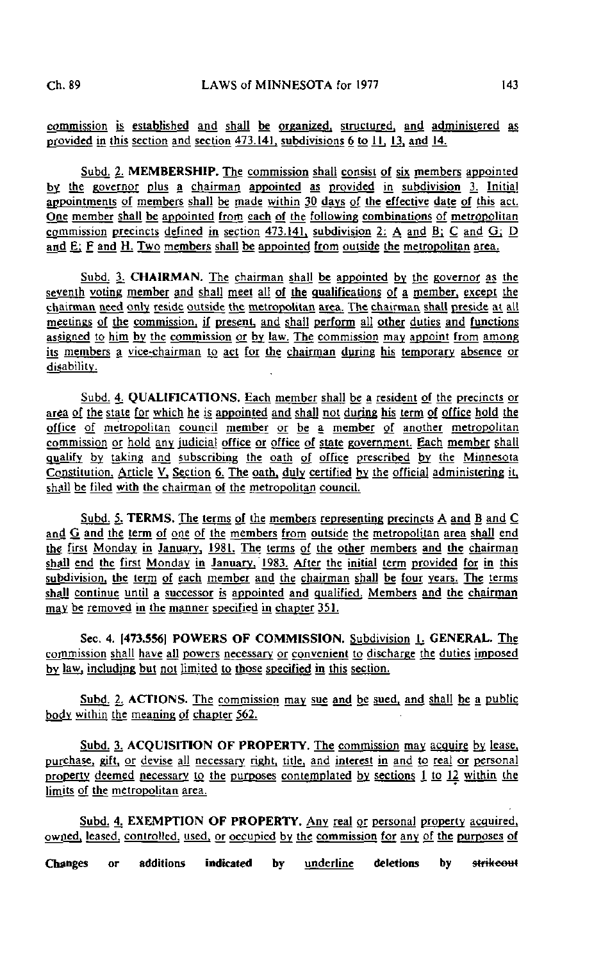commission is established and shall be organized, structured, and administered as provided in this section and section 473.141. subdivisions 6 to II, 13. and 14.

Subd. 2; MEMBERSHIP. The commission shall consist of six members appointed by the governor plus a chairman appointed as provided in subdivision 3. Initial appointments of members shall be made within 30 days of the effective date of this act. One member shall be appointed from each of the following combinations of metropolitan commission precincts defined in section 473.141. subdivision 2: A and B; C and Gj D and  $E_i$ :  $E$  and  $H_i$ . Two members shall be appointed from outside the metropolitan area.

Subd. 3. CHAIRMAN. The chairman shall be appointed by the governor as the seventh voting member and shall meet all of the qualifications of a member, except the chairman need only reside outside the metropolitan area. The chairman shall preside at all meetings of the commission, if present, and shall perform all other duties and functions assigned to him by the commission or by law. The commission may appoint from among its members a vice-chairman to act for the chairman during his temporary absence or disability.

Subd. 4. QUALIFICATIONS. Each member shall be a resident of the precincts or area of the state for which he is appointed and shall not during his term of office hold the office of metropolitan council member or be a member of another metropolitan commission or hold any judicial office or office of state government. Each member shall qualify by taking and subscribing the oath of office prescribed by the Minnesota Constitution. Article V, Section 6. The oath, duly certified by the official administering it, shall be filed with the chairman of the metropolitan council.

Subd. 5. TERMS. The terms of the members representing precincts A and B and C and G and the term of one of the members from outside the metropolitan area shall end the first Monday in January, 1981. The terms of the other members and the chairman shall end the first Monday in January. 1983. After the initial term provided for in this subdivision, the term of each member and the chairman shall be four years. The terms shall continue until a successor is appointed and qualified, Members and the chairman may be removed in the manner specified in chapter 351.

Sec. 4. [473.5561 POWERS OF COMMISSION. Subdivision L GENERAL. The commission shall have all powers necessary or convenient to discharge the duties imposed by law, including but not limited to those specified in this section.

Subd. 2. ACTIONS. The commission may sue and be sued, and shall be a public body within the meaning of chapter 562.

Subd. 3, ACQUISITION OF PROPERTY. The commission may acquire by lease, purchase, gift, or devise all necessary right, title, and interest in and to real or personal property deemed necessary to the purposes contemplated by sections 1 to 12 within the limits of the metropolitan area.

Subd. 4. EXEMPTION OF PROPERTY. Any real or personal property acquired, owned, leased, controlled, used, or occupied by the commission for any of the purposes of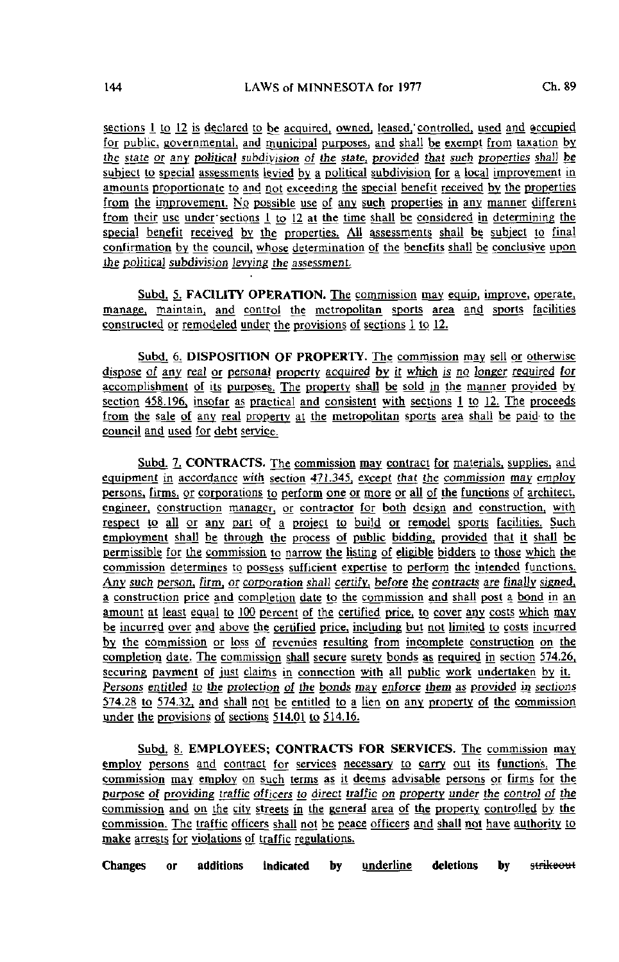sections 1 to 12 is declared to be acquired, owned, leased, controlled, used and occupied for public, governmental, and municipal purposes, and shall be exempt from taxation by the state or any political subdivision of the state, provided that such properties shall be subject to special assessments levied by a political subdivision for a local improvement in amounts proportionate to and not exceeding the special benefit received by the properties from the improvement. No possible use of any such properties in any manner different from their use under sections  $\frac{1}{10}$  to 12 at the time shall be considered in determining the special benefit received by the properties. All assessments shall be subject to final confirmation by the council, whose determination of the benefits shall be conclusive upon the political subdivision levying the assessment.

Subd. 5. FACILITY OPERATION. The commission may equip, improve, operate, manage, maintain, and control the metropolitan sports area and sports facilities constructed or remodeled under the provisions of sections 1 to 12.

Subd. 6. DISPOSITION OF PROPERTY. The commission may sell or otherwise dispose of any real or personal property acquired by it which is no longer required for accomplishment of its purposes. The property shall be sold in the manner provided by section  $458.196$ , insofar as practical and consistent with sections  $1$  to 12. The proceeds from the sale of any real property at the metropolitan sports area shall be paid to the council and used for debt service.

Subd. 7. CONTRACTS. The commission may contract for materials, supplies, and equipment in accordance with section 471.345. except that the commission may employ persons, firms, or corporations to perform one or more or all of the functions of architect, engineer, construction manager, or contractor for both design and construction, with respect to all or any part of a project to build or remodel sports facilities. Such employment shall be through the process of public bidding, provided that it shall be permissible for the commission to narrow the listing of eligible bidders to those which the commission determines to possess sufficient expertise to perform the intended functions. Any such person, firm, or corporation shall certify, before the contracts are finally signed, a construction price and completion date to the commission and shall post a bond in an amount at least equal to 100 percent of the certified price, to cover any costs which may be incurred over and above the certified price, including but not limited to costs incurred by the commission or loss of revenues resulting from incomplete construction on the completion date. The commission shall secure surety bonds as required in section 574.26. securing payment of just claims in connection with all public work undertaken by it. Persons entitled to the protection of the bonds may enforce them as provided in sections 574.28 to 574.32, and shall not be entitled to a lien on any property of the commission under the provisions of sections 514.01 to 514.16.

Subd. 8. EMPLOYEES; CONTRACTS FOR SERVICES. The commission may employ persons and contract for services necessary to carry out its function's. The commission may employ on such terms as it deems advisable persons or firms for the purpose of providing traffic officers to direct traffic on property under the control of the commission and on the city streets in the generaj area of the property controlled by the commission. The traffic officers shall not be peace officers and shall not have authority to make arrests for violations of traffic regulations.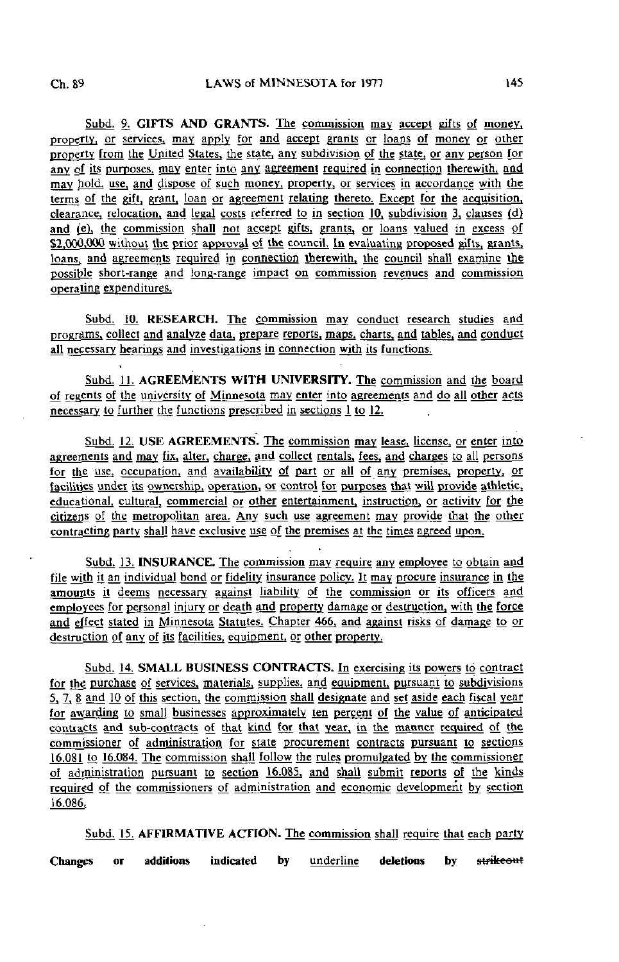Subd. 9. GIFTS AND GRANTS. The commission may accept gifts of money, property, or services, may apply for and accept grants or loans of money or other property from the United States, the state, any subdivision of the state, or any person for any of its purposes, may enter into any agreement required in connection therewith, and may hold, use, and dispose of such money, property, or services in accordance with the terms of the gift, grant, loan or agreement relating thereto. Except for the acquisition, clearance, relocation, and legal costs referred to in section 10, subdivision 3, clauses  $(d)$ and  $(e)$ , the commission shall not accept gifts, grants, or loans valued in excess of \$2,000,000 without the prior approval of the council. In evaluating proposed gifts, grants, loans, and agreements required in connection therewith, the council shall examine the possible short-range and long-range impact on commission revenues and commission operating expenditures;

Subd. 10. RESEARCH. The commission may conduct research studies and programs, collect and analyze data, prepare reports, maps, charts, and tables, and conduct all necessary hearings and investigations in connection with its functions.

Subd. 11. AGREEMENTS WITH UNIVERSITY. The commission and the board of regents of the university of Minnesota may enter into agreements and do all other acts necessary to further the functions prescribed in sections 1 to 12.

Subd. 12. USE AGREEMENTS. The commission may lease, license, or enter into agreements and may fix, alter, charge, and collect rentals, fees, and charges to all persons for the use, occupation, and availability of part or all of any premises, property, or facilities under its ownership, operation, or control for purposes that will provide athletic, educational, cultural, commercial or other entertainment, instruction, or activity for the citizens of the metropolitan area. Any such use agreement may provide that the other contracting party shall have exclusive use of the premises at the times agreed upon.

Subd. 13. INSURANCE. The commission may require any employee to obtain and file with it an individual bond or fidelity insurance policy. It may procure insurance in the amounts it deems necessary against liability of the commission or its officers and employees for personal injury or death and property damage or destruction, with the force and effect stated in Minnesota Statutes. Chapter 466, and against risks of damage to or destruction of any of its facilities, equipment, or other property.

Subd. 14. SMALL BUSINESS CONTRACTS. In exercising its powers to contract for the purchase of services, materials, supplies, and equipment, pursuant to subdivisions 5, 7, 8 and 10 of this section, the commission shall designate and set aside each fiscal year for awarding to small businesses approximately ten percent of the value of anticipated contracts and sub-contracts of that kind for that year, in the manner requited of the commissioner of administration for state procurement contracts pursuant to sections 16.081 to 16.084. The commission shall follow the rules promulgated by the commissioner of administration pursuant to section 16.085. and shall submit reports of the kinds required of the commissioners of administration and economic development by section 16.086.

Subd. 15. AFFIRMATIVE ACTION. The commission shall require that each party Changes or additions indicated by <u>underline</u> deletions by strikeout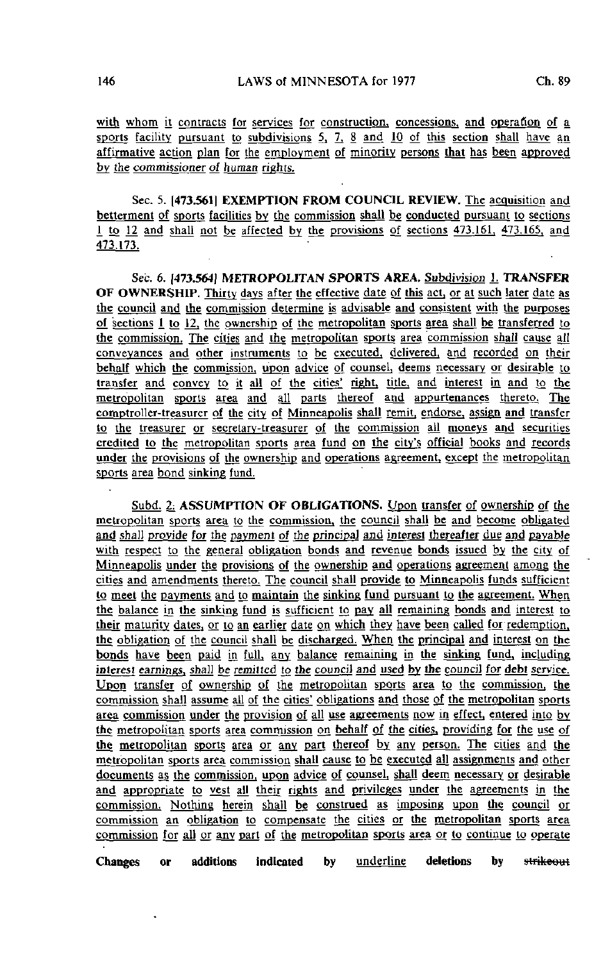with whom it contracts for services for construction, concessions, and operation of a sports facility pursuant to subdivisions 5, 7, 8 and 10 of this section shall have an affirmative action plan for the employment of minority persons that has been approved by the commissioner of human rights.

Sec. 5. [473.5611 EXEMPTION FROM COUNCIL REVIEW. The acquisition and betterment of sports facilities by the commission shall be conducted pursuant to sections 1 to 12 and shall not be affected by the provisions of sections 473.161. 473.165, and 473.173.

Sec. 6. [473.564] METROPOLITAN SPORTS AREA. Subdivision 1. TRANSFER OF OWNERSHIP. Thirty days after the effective date of this act, or at such later date as the council and the commission determine is advisable and consistent with the purposes of sections i to 12. the ownership of the metropolitan sports area shall be transferred to the commission. The cities and the metropolitan sports area commission shall cause all conveyances and other instruments to be executed, delivered, and recorded on their behalf which the commission, upon advice of counsel, deems necessary or desirable to transfer and convey to it all of the cities' right, title, and interest in and to the metropolitan sports area and all parts thereof and appurtenances thereto. The comptroller-treasurer of the city of Minneapolis shall remit, endorse, assign and transfer to the treasurer or secretary-treasurer of the commission all moneys and securities credited to the metropolitan sports area fund on the city's official books and records under the provisions of the ownership and operations agreement, except the metropolitan sports area bond sinking fund.

Subd. 2: ASSUMPTION OF OBLIGATIONS. Upon transfer of ownership of the metropolitan sports area to the commission, the council shall be and become obligated and shall provide for the payment of the principal and interest thereafter due and payable with respect to the general obligation bonds and revenue bonds issued by the city of Minneapolis under the provisions of the ownership and operations agreement among the cities and amendments thereto. The council shall provide to Minneapolis funds sufficient to meet the payments and to maintain the sinking fund pursuant to the agreement. When the balance in the sinking fund is sufficient to pay all remaining bonds and interest to their maturity dates, or to an earlier date on which they have been called for redemption, the obligation of the council shall be discharged. When the principal and interest on the bonds have been paid in full, any balance remaining in the sinking fund, including interest earnings, shall be remitted to the council and used by the council for debt service. Upon transfer of ownership of the metropolitan sports area to the commission, the commission shall assume all of the cities' obligations and those of the metropolitan sports area commission under the provision of all use agreements now in effect, entered into by the metropolitan sports area commission on behalf of the cities, providing for the use of the metropolitan sports area or any part thereof by any person. The cities and the metropolitan sports area commission shall cause to be executed all assignments and other documents as the commission, upon advice of counsel, shall deem necessary or desirable and appropriate to vest all their rights and privileges under the agreements in the commission. Nothing herein shall be construed as imposing upon the council or commission an obligation to compensate the cities or the metropolitan sports area commission for all or any part of the metropolitan sports area or to continue to operate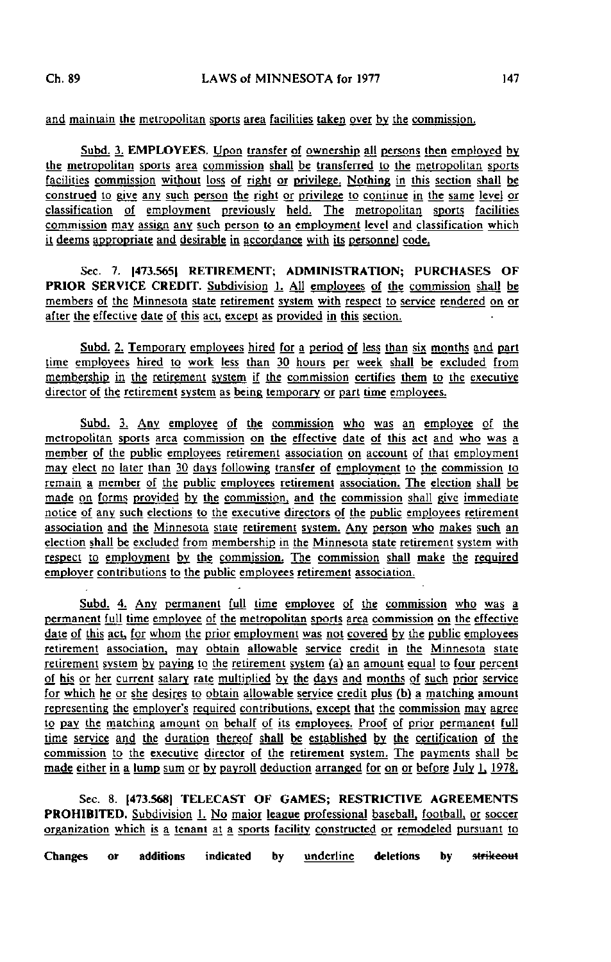and maintain the metropolitan sports area facilities taken over by the commission.

Subd. 3. EMPLOYEES. Upon transfer of ownership all persons then employed by the metropolitan sports area commission shall be transferred to the metropolitan sporls facilities commission without loss of right or privilege. Nothing in this section shall be construed to give any such person the right or privilege to continue in the same level or classification of employment previously held. The metropolitan sports facilities commission may assign any such person to an employment level and classification which it deems appropriate and desirable in accordance with its personnel code.

Sec. 7. [473.565] RETIREMENT; ADMINISTRATION; PURCHASES OF PRIOR SERVICE CREDIT. Subdivision 1. All employees of the commission shall be members of the Minnesota state retirement system with respect to service rendered on or after the effective date of this act, except as provided in this section.

Subd. 2. Temporary employees hired for a period of less than six months and part time employees hired to work less than 30 hours per week shall be excluded from membership in the retirement system if the commission certifies them to the executive director of the retirement system as being temporary or part time employees.

Subd. 3. Any employee of the commission who was an employee of the metropolitan sports area commission on the effective date of this act and who was a member of the public employees retirement association on account of that employment may elect no later than 30 days following transfer of employment to the commission to remain a member of the public employees retirement association. The election shall be made on forms provided by the commission, and the commission shall give immediate notice of any such elections to the executive directors of the public employees retirement association and the Minnesota state retirement system. Any person who makes such an election shall be excluded from membership in the Minnesota state retirement system with respect to employment by the commission. The commission shall make the required employer contributions to the public employees retirement association.

Subd. 4. Any permanent full time employee of the commission who was a permanent full time employee of the metropolitan sports area commission on the effective date of this act, for whom the prior employment was not covered by the public employees retirement association, may obtain allowable service credit in the Minnesota state retirement system by paying to the retirement system (a) an amount equal to four percent of his or her current salary rate multiplied by the days and months of such prior service for which he or she desires to obtain allowable service credit plus (b) a matching amount representing the employer's required contributions, except that the commission may agree to pay the matching amount on behalf of its employees. Proof of prior permanent full time service and the duration thereof shall be established by the certification of the commission to the executive director of the retirement system. The payments shall be made either in a lump sum or by payroll deduction arranged for on or before July 1, 1978.

Sec. 8. [473.568] TELECAST OF GAMES; RESTRICTIVE AGREEMENTS PROHIBITED. Subdivision L No major league professional baseball, football, or soccer organization which is a tenant at a sports facility constructed or remodeled pursuant to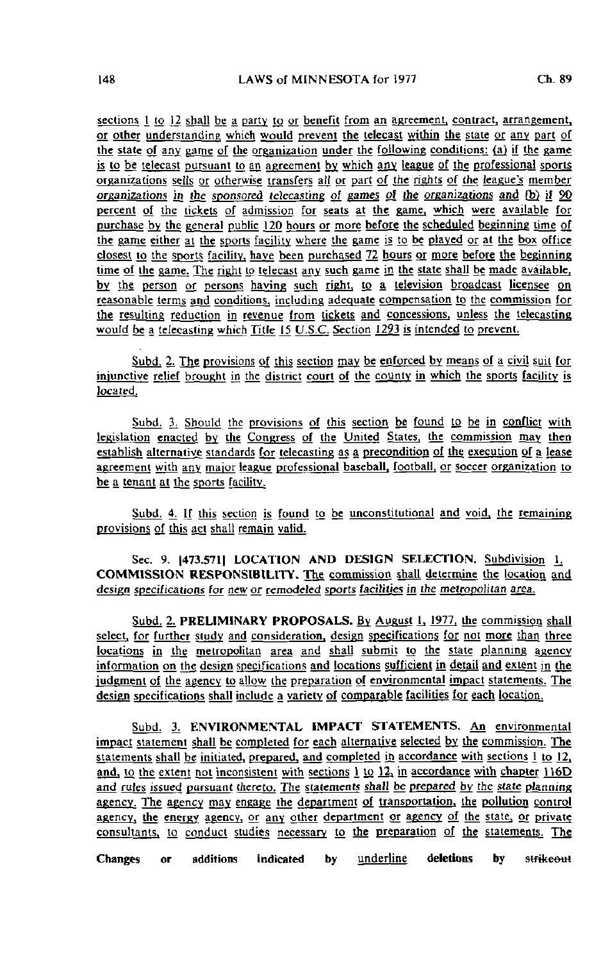sections 1 to 12 shall be a party to or benefit from an agreement, contract, arrangement, or other understanding which would prevent the telecast within the state or any part of the state of any game of the organization under the following conditions: (a) if the game is to be telecast pursuant to an agreement by which any league of the professional sports organizations sells or otherwise transfers all or part of the rights of the league's member organizations in the sponsored telecasting of games of the organizations and  $(b)$  if  $90$ percent of the tickets of admission for seats at the game, which were available for purchase by the general public 120 hours or more before the scheduled beginning time of the game either at the sports facility where the game is to be played or at the box office closest to the sports facility, have been purchased 72 hours or more before the beginning time of the game. The right to telecast any such game in the state shall be made available, by the person or persons having such right, to a television broadcast licensee on reasonable terms ami conditions, including adequate compensation to the commission for the resulting reduction in revenue from tickets and concessions, unless the telecasting would be a telecasting which Title 15 U.S.C. Section 1293 is intended to prevent.

Subd. 2. The provisions of this section may be enforced by means of a civil suit for injunctive relief brought in the district court of the county in which the sports facility is located.

Subd. 3. Should the provisions of this section be found to be in conflict with legislation enacted by the Congress of the United States, the commission may then establish alternative standards for telecasting as a precondition of the execution of a lease agreement with any major league professional baseball, football, or soccer organization to be a tenant at the sports facility.

Subd. 4. If this section is found to be unconstitutional and void, the remaining provisions of this act shall remain valid.

Sec. 9. [473.571] LOCATION AND DESIGN SELECTION. Subdivision 1. COMMISSION RESPONSIBILITY, The commission shall determine the location and design specifications for new or remodeled sports facilities in the metropolitan area.

Subd. 2. PRELIMINARY PROPOSALS. By August 1, 1977, the commission shall select, for further study and consideration, design specifications for not more than three locations in the metropolitan area and shall submit to the state planning agency information on the design specifications and locations sufficient in detail and extent in the judgment of the agency to allow the preparation of environmental impact statements. The design specifications shall include a variety of comparable facilities for each location.

Subd. 3. ENVIRONMENTAL IMPACT STATEMENTS. An environmental impact statement shall be completed for each alternative selected by the commission. The statements shall be initiated, prepared, and completed in accordance with sections 1 to 12. and, to the extent not inconsistent with sections 1 to 12, in accordance with chapter 116D and rules issued pursuant thereto. The statements shall be prepared by the state planning agency. The agency may engage the department of transportation, the pollution control agency, the energy agency, or any other department or agency of the state, or private consultants, to conduct studies necessary to the preparation of the statements. The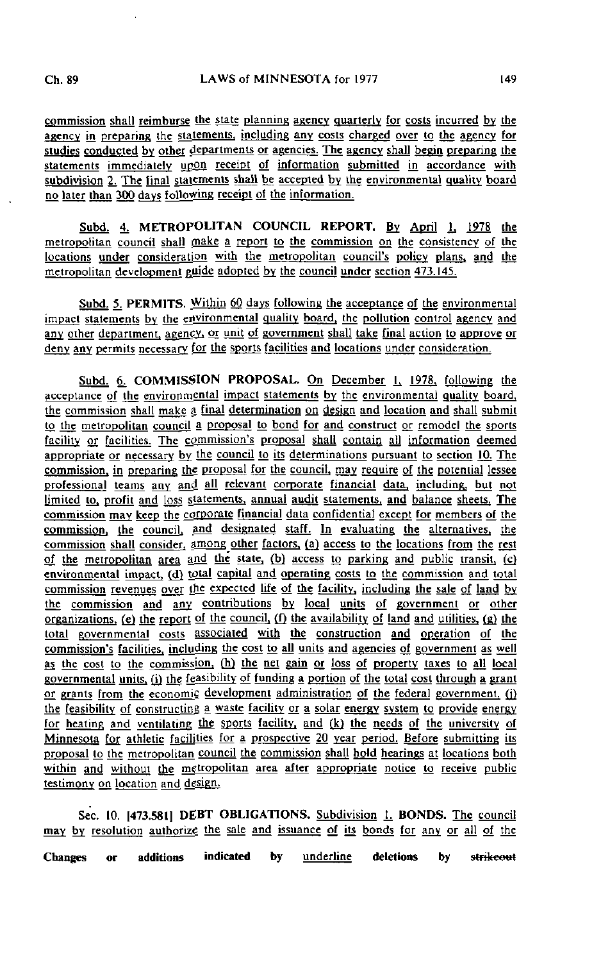commission shall reimburse the state planning agency quarterly for costs incurred by the agency in preparing the statements, including any costs charged over to the agency for studies conducted by other departments or agencies. The agency shall begin preparing the statements immediately upon receipt of information submitted in accordance with subdivision 2. The final statements shall be accepted by the environmental quality board no later than 300 days following receipt of the information.

Subd. 4. METROPOLITAN COUNCIL REPORT. By April 1, 1978 the metropolitan council shall make a report to the commission on the consistency of the locations under consideration with the metropolitan council's policy plans, and the metropolitan development guide adopted by the council under section 473.145.

Subd. 5. PERMITS. Within 60 days following the acceptance of the environmental impact statements by the environmental quality board, the pollution control agency and any other department, agency, or unit of government shall take final action to approve or deny any permits necessary for the sports facilities and locations under consideration.

Subd. 6. COMMISSION PROPOSAL. On December 1, 1978, following the acceptance of the environmental impact statements by the environmental quality board. the commission shall make a final determination on design and location and shall submit to the metropolitan council a proposal to bond for and construct or remodel the sports facility or facilities. The commission's proposal shall contain all information deemed appropriate or necessary by the council to its determinations pursuant to section 10. The commission, in preparing the proposal for the council, may require of the potential lessee professional teams any and all relevant corporate financial data, including, but not Limited to. profit and loss statements, annual audit statements, and balance sheets. The commission may keep the corporate financial data confidential except for members of the commission, the council, and designated staff. In evaluating the alternatives, the commission shall consider, among other factors, (a) access to the locations from the rest of the metropolitan area and the state, (b) access to parking and public transit, (c) environmental impact, (d) total capital and operating costs to the commission and total commission revenues over the expected life of the facility, including the sale of land by the commission and any contributions by local units of government or other organizations, (e) the report of the council, (f) the availability of land and utilities, (g) the total govern mental costs associated with the construction and operation of the commission's facilities, including the cost to all units and agencies of government as well as the cost to the commission, (h) the net gain or loss of property taxes to all local governmental units, (i) the feasibility of funding a portion of the total cost through a grant or grants from the economic development administration of the federal government, (i) the feasibility of constructing a waste facility or a solar energy system to provide energy for heating and ventilating the sports facility, and (k) the needs of the university of Minnesota for athletic facilities for a prospective 20 year period. Before submitting its proposal to the metropolitan council the commission shall hold hearings at locations both within and without the metropolitan area after appropriate notice to receive public testimony on location and design.

Sec. 10. |473.58I| DEBT OBLIGATIONS. Subdivision I. BONDS. The council may by resolution authorize the sale and issuance of its bonds for any or all of the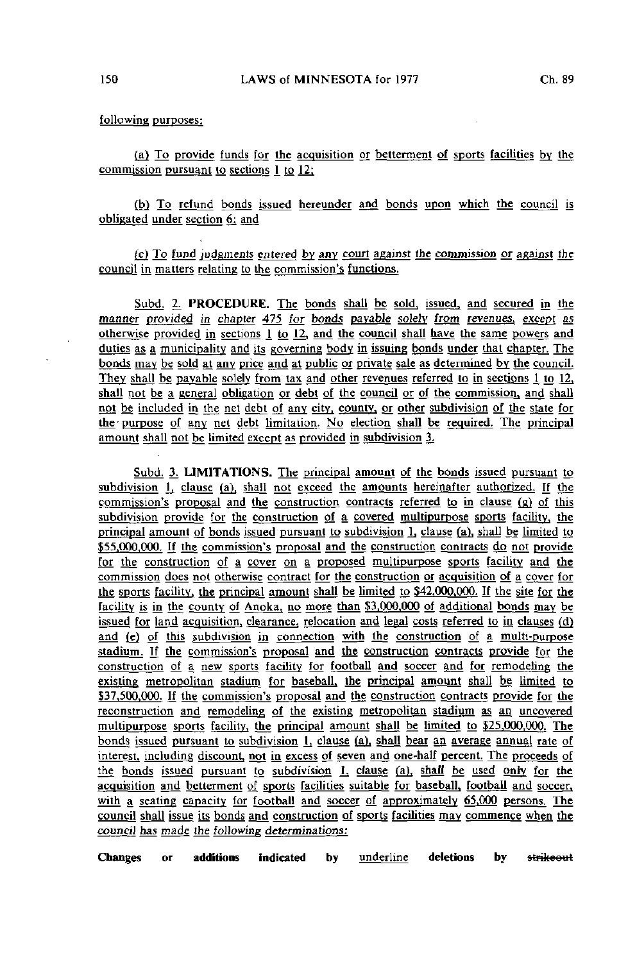following purposes:

(a) To provide funds for the acquisition or betterment of sports facilities by the commission pursuant to sections 1 to 12:

(b) To refund bonds issued hereunder and bonds upon which the council is obligated under section 6; and

(c) To fund judgments entered by any court against the commission or against the council in matters relating to the commission's functions.

Subd. 2. PROCEDURE. The bonds shall be sold, issued, and secured in the manner provided in chapter 475 for bonds payable solely from revenues, except as otherwise provided in sections 1 to 12, and the council shall have the same powers and duties as a municipality and its governing body in issuing bonds under that chapter. The bonds may be sold at any price and at public or private sale as determined by the council. They shall be payable solely from tax and other revenues referred to in sections 1 to 12. shall not be a general obligation or debt of the council or of the commission, and shall not be included in the net debt of any city, county, or other subdivision of the state for the purpose of any net debt limitation. No election shall be required. The principal amount shall not be limited except as provided in subdivision 3.

Subd. 3. LIMITATIONS. The principal amount of the bonds issued pursuant to subdivision 1, clause (a), shall not exceed the amounts hereinafter authorized. If the commission's proposal and the construction contracts referred to in clause (g) of this subdivision provide for the construction of a covered multipurpose sports facility, the principal amount of bonds issued pursuant to subdivision lj clause (a), shall be limited to \$55,000,000. If the commission's proposal and the construction contracts do not provide for the construction of a cover on a proposed multipurpose sports facility and the commission does not otherwise contract for the construction or acquisition of a cover for the sports facility, the principal amount shall be limited to  $$42,000,000$ . If the site for the facility is in the county of Anoka, no more than \$3.000.000 of additional bonds may be issued for land acquisition, clearance, relocation and legal costs referred to in clauses (d) and (e) of this subdivision in connection with the construction of a multi-purpose stadium. If the commission's proposal and the construction contracts provide for the construction of a new sports facility for football and soccer and for remodeling the existing metropolitan stadium for baseball, the principal amount shall be limited to \$37,500,000. If the commission's proposal and the construction contracts provide for the reconstruction and remodeling of the existing metropolitan stadium as an uncovered multipurpose sports facility, the principal amount shall be limited to \$25,000,000. The bonds issued pursuant to subdivision 1, clause (a), shall bear an average annual rate of interest, including discount, not in excess of seven and one-half percent. The proceeds of the bonds issued pursuant to subdivision 1, clause (a), shall be used only for the acquisition and betterment of sports facilities suitable for baseball, football and soccer, with a seating capacity for football and soccer of approximately 65,000 persons. The council shall issue its bonds and construction of sports facilities may commence when the council has made the following determinations: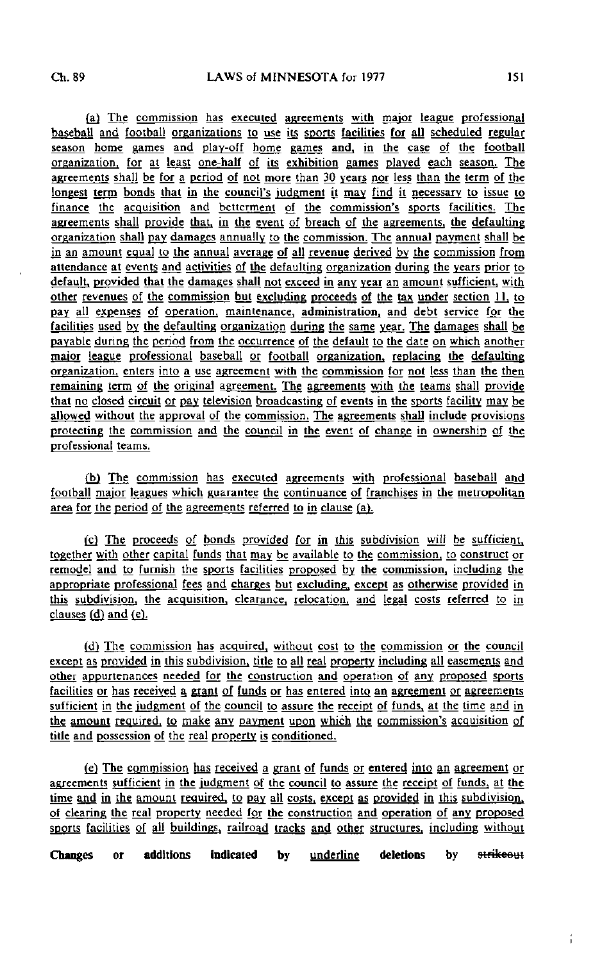(a) The commission has executed agreements with major league professional baseball and football organizations to use its sports facilities for all scheduled regular season home games and play-off home games and, in the case of the football organization, for at least one-half of its exhibition games played each season. The agreements shall be for a period of not more than 30 years nor less than the term of the longest term bonds that in the council's judgment it may find it necessary to issue to finance the acquisition and betterment of the commission's sports facilities. The agreements shall provide that, in the event of breach of the agreements, the defaulting organization shall pay damages annually to the commission. The annual payment shall be in an amount equal to the annual average of all revenue derived by the commission from attendance at events and activities of the defaulting organization during the years prior to default, provided that the damages shall not exceed in any year an amount sufficient, with other revenues of the commission but excluding proceeds of the tax under section 11. to pay all expenses of operation, maintenance, administration, and debt service for the facilities used by the defaulting organization during the same yean The damages shall be payable during the period from the occurrence of the default to the date on which another major league professional baseball or football organization, replacing the defaulting organization, enters into a use agreement with the commission for not less than the then remaining term of the original agreement. The agreements with the teams shall provide that no closed circuit or pay television broadcasting of events in the sports facility may bg allowed without the approval of the commission. The agreements shall include provisions protecting the commission and the council in the event of change in ownership of the professional teams.

(b) The commission has executed agreements with professional baseball and football major leagues which guarantee the continuance of franchises in the metropolitan area for the period of the agreements referred to in clause (a).

(g) The proceeds of bonds provided for in this subdivision will be sufficient, together with other capital funds that may be available to the commission, to construct or remodel and to furnish the sports facilities proposed by the commission, including the appropriate professional fees and charges but excluding, except as otherwise provided in this subdivision, the acquisition, clearance, relocation, and legal costs referred to in clauses (d) and (e).

(d) The commission has acquired, without cost to the commission or the council except as provided in this subdivision, title to all real properly including all easements and other appurtenances needed for the construction and operation of any proposed sports facilities or has received a grant of funds or has entered into an agreement or agreements sufficient in the judgment of the council to assure the receipt of funds, at the time and in the amount required, to make any payment upon which the commission's acquisition of title and possession of the real property is conditioned.

(e) The commission has received a grant of funds or entered into an agreement or agreements sufficient in the judgment of the council to assure the receipt of funds, at the time and in the amount required, to pay all costs, except as provided in this subdivision, of clearing the real property needed for the construction and operation of any proposed sports facilities of all buildings, railroad tracks and other structures, including without

Changes or additions indicated by <u>underline</u> deletions by strikeout

Î.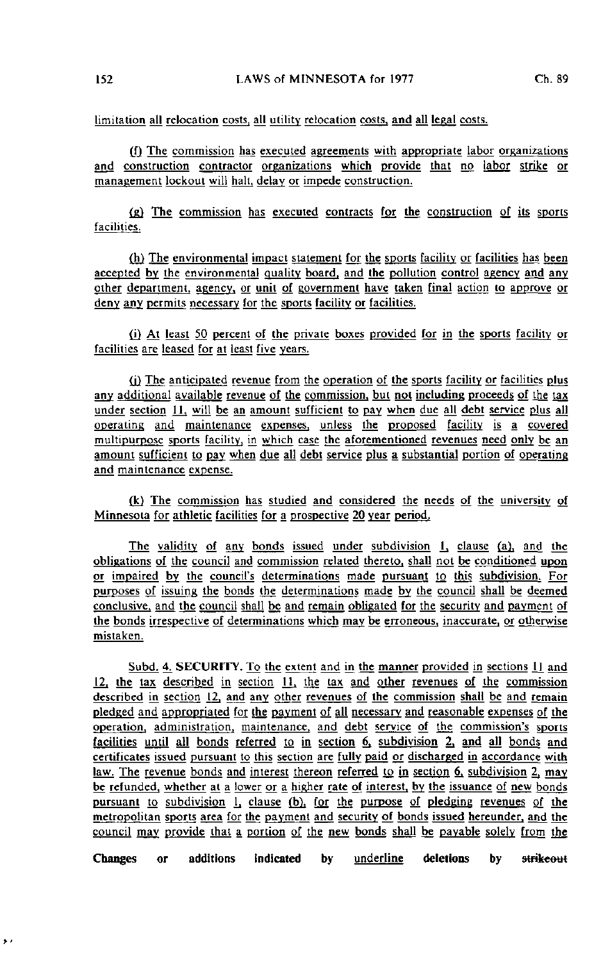limitation all relocation costs, all utility relocation costs, and all legal costs.

 $(f)$  The commission has executed agreements with appropriate labor organizations and construction contractor organizations which provide that no labor strike or management lockout will hall, delay or impede construction.

 $f(g)$  The commission has executed contracts for the construction of its sports facilities.

(h) The environmental impact statement for the sports facility or facilities has been accepted by the environmental quality board, and the pollution control agency and any other department, agency, or unit of government have taken final action to approve or deny any permits necessary for the sports facility or facilities.

(j) At least 50 percent of the private boxes provided for jn the sports facility or facilities are leased for at least five years.

(i) The anticipated revenue from the operation of the sports facility or facilities plus any additional available revenue of the commission, but not including proceeds of the tax under section 11, will be an amount sufficient to pay when due all debt service plus all operating and maintenance expenses, unless the proposed facility is a covered multipurpose sports facility, in which case the aforementioned revenues need only be an amount sufficient to pay when due all debt service plus a substantial portion of operating and maintenance expense.

(k) The commission has studied and considered the needs of the university of Minnesota for athletic facilities for a prospective 20 year period.

The validity of any bonds issued under subdivision 1, clause (a), and the obligations of the council and commission related thereto, shall not be conditioned upon or impaired by the council's determinations made pursuant to this subdivision. For purposes of issuing the bonds the determinations made by the council shall be deemed conclusive, and the council shall be and remain obligated for the security and payment of the bonds irrespective of determinations which may be erroneous, inaccurate, or otherwise mistaken.

Subd. 4. SECURITY. To the extent and in the manner provided in sections  $\bot$  and  $12$ , the tax described in section 11, the tax and other revenues of the commission described in section J2, and any other revenues of the commission shall be and remain pledged and appropriated for the payment of all necessary and reasonable expenses of the operation, administration, maintenance, and debt service of the commission's sports facilities until all bonds referred to in section  $6$ , subdivision  $2$ , and all bonds and certificates issued pursuant to this section are fully paid or discharged in accordance with law. The revenue bonds and interest thereon referred to in section  $6$ , subdivision 2, may be refunded, whether at a lower or a higher rate of interest, by the issuance of new bonds pursuant to subdivision 1, clause (b), for the purpose of pledging revenues of the metropolitan sports area for the payment and security of bonds issued hereunder, and the council may provide that a portion of the new bonds shajl be payable solely from the

Changes or additions indicated by underline deletions by strikeout

 $\lambda$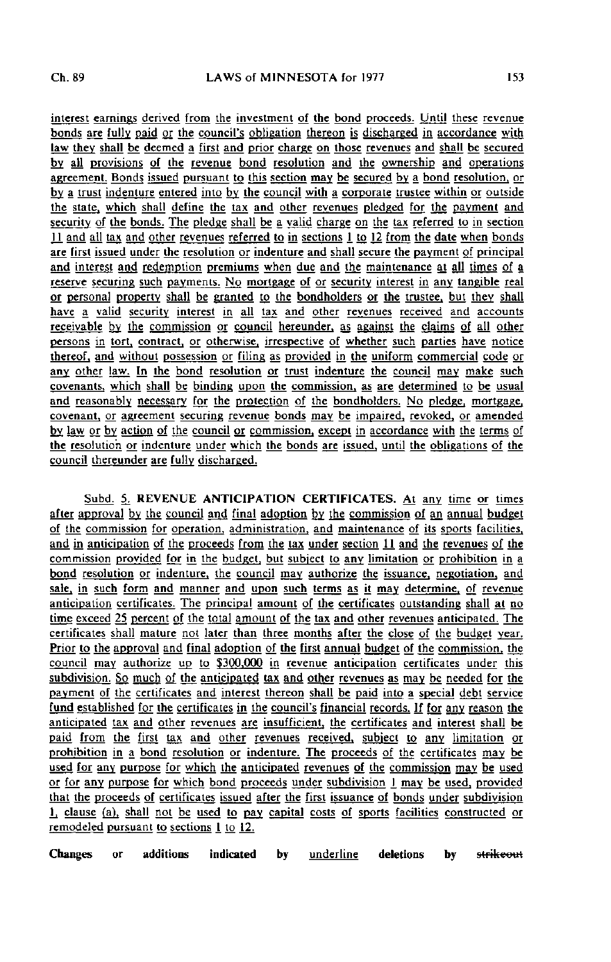interest earnings derived from the investment of the bond proceeds. Until these revenue bonds are fully paid or the council's obligation thereon is discharged in accordance with law they shall be deemed a first and prior charge on those revenues and shall be secured by all provisions of the revenue bond resolution and the ownership and operations agreement. Bonds issued pursuant to this section may be secured by a bond resolution, or by a trust indenture entered into by the council with a corporate trustee within or outside the state, which shall define the tax and other revenues pledged for the payment and security of the bonds. The pledge shall be a valid charge on the tax referred to in section JJ. and ajl lax and other revenues referred to in sections 1 to \2 from the date when bonds are first issued under the resolution or indenture and shall secure the payment of principal and interest and redemption premiums when due and the maintenance at all times of a reserve securing such payments. No mortgage of or security interest in any tangible real or personal property shall be granted to the bondholders or the trustee, but they shall have a valid security interest in all tax and other revenues received and accounts receivable by the commission or council hereunder. as against the claims of all other persons in tort, contract, or otherwise, irrespective of whether such parties have notice thereof, and without possession or filing as provided in the uniform commercial code or any other law. In the bond resolution or trust indenture the council may make such covenants, which shall be binding upon the commission, as are determined to be usual and reasonably necessary for the protection of the bondholders. No pledge, mortgage. covenant, or agreement securing revenue bonds may be impaired, revoked, or amended by law or by action of the council or commission, except in accordance with the terms of the resolution or indenture under which the bonds are issued, until the obligations of the council thereunder are fully discharged.

Subd. 5. REVENUE ANTICIPATION CERTIFICATES. At any time or times after approval by the council and final adoption by the commission of an annual budget of the commission for operation, administration, and maintenance of its sports facilities, and in anticipation of the proceeds from the tax under section 11 and the revenues of the commission provided for in the budget, but subject to any limitation or prohibition in a bond resolution or indenture, the council may authorize the issuance, negotiation, and sale, in such form and manner and upon such terms as it may determine, of revenue anticipation certificates. The principal amount of the certificates outstanding shall at no time exceed 25 percent of the total amount of the tax and other revenues anticipated. The certificates shall mature not later than three months after the close of the budget year. Prior to the approval and final adoption of the first annual budget of the commission, the council may authorize up to S300.000 in revenue anticipation certificates under this subdivision. So much of the anticipated tax and other revenues as may be needed for the payment of the certificates and interest thereon shall be paid into a special debt service fund established for the certificates in the council's financial records. If for any reason the anticipated tax and other revenues are insufficient, the certificates and interest shall be paid from the first tax and other revenues received, subject to any limitation or prohibition in a bond resolution or indenture. The proceeds of the certificates may be used for any purpose for which the anticipated revenues of the commission may be used or for any purpose for which bond proceeds under subdivision 1 may be used, provided that the proceeds of certificates issued after the first issuance of bonds under subdivision i, clause (a), shall not be used to pay capital costs of sports facilities constructed or remodeled pursuant to sections 1 to 12.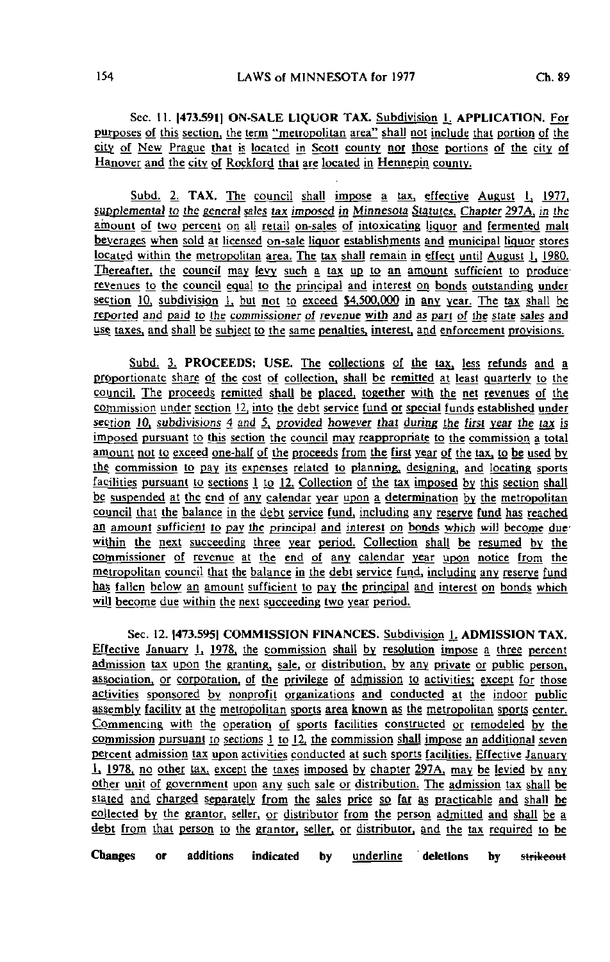Sec. 11. 1473.5911 ON-SALE LIQUOR TAX. Subdivision 1. APPLICATION. For purposes of this section, the term "metropolitan area" shall not include that portion of the city of New Prague that is located in Scott county nor those portions of the city of Hanover and the city of Rockford that are located in Hennepin county.

Subd. 2. TAX. The council shall impose a tax, effective August 1, 1977. supplemental to the general sales tax imposed in Minnesota Statutes. Chapter 297A, in the amount of two percent on all retail on-sales of intoxicating liquor and fermented malt beverages when sold at licensed on-sale liquor establishments and municipal liquor stores located within the metropolitan area. The tax shall remain in effect until August 1, 1980. Thereafter, the council may levy such a tax up to an amount sufficient to produce revenues to the council equal to the principal and interest on bonds outstanding under section  $10$ , subdivision  $1$ , but not to exceed \$4,500,000 in any year. The tax shall be reported and paid to the commissioner of revenue with and as part of the state sales and us§ taxes, and shall be subject to the same penalties, interest, and enforcement provisions.

Subd. 3. PROCEEDS; USE. The collections of the tax, less refunds and a proportionate share of the cost of collection, shall be remitted at least quarterly to the council. The proceeds remitted shall be placed, together with the net revenues of the commission under section J2, into the debt service fund or special funds established under section 10, subdivisions 4 and 5, provided however that during the first year the tax is imposed pursuant to this section the council may reappropriate to the commission a total amount not to exceed one-half of the proceeds from the first year of the tax, to be used by the commission to pay its expenses related to planning, designing, and locating sports facilities pursuant to sections 1 to 12. Collection of the tax imposed by this section shall be suspended at the end of any calendar year upon a determination by the metropolitan council that the balance in the debt service fund, including any reserve fund has reached an amount sufficient to pay the principal and interest on bonds which will become due within the next succeeding three year period. Collection shall be resumed by the commissioner of revenue at the end of any calendar year upon notice from the metropolitan council that the balance in the debt service fund, including any reserve fund has fallen below an amount sufficient to pay the principal and interest on bonds which will become due within the next succeeding two year period.

Sec. 12. [473.595] COMMISSION FINANCES. Subdivision 1. ADMISSION TAX. Effective January 1, 1978, the commission shall by resolution impose a three percent admission tax upon the granting, sale, or distribution, by any private or public person, association, or corporation, of the privilege of admission to activities; except for those activities sponsored by nonprofit organizations and conducted at the indoor public assembly facility at the metropolitan sports area known as the metropolitan sports center. Commencing with the operation of sports facilities constructed or remodeled by the commission pursuant to sections  $\frac{1}{2}$  to  $\frac{12}{2}$ , the commission shall impose an additional seven percent admission tax upon activities conducted at such sports facilities. Effective January  $L_1$  1978, no other tax, except the taxes imposed by chapter 297A, may be levied by any other unit of government upon any such sale or distribution. The admission tax shall be stated and charged separately from the sales price so far as practicable and shall be collected by the grantor, seller, or distributor from the person admitted and shall be a debt from that person to the grantor, seller, or distributor, and the tax required to be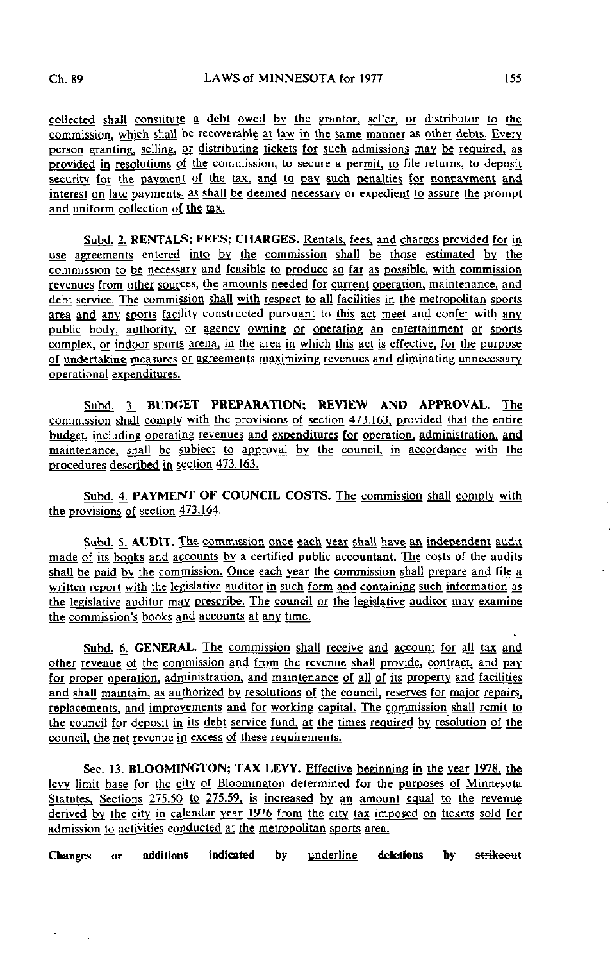collected shall constitute a debt owed by the grantor, seller, or distributor to the commission, which shall be recoverable at law in the same manner as other debts. Every person granting, selling, or distributing tickets for such admissions may be required, as provided in resolutions of the commission, to secure a permit, to file returns, to deposit security for the payment of the tax, and to pay such penalties for nonpayment and interest on late payments, as shall be deemed necessary or expedient to assure the prompt and uniform collection of the tax.

Subd, 2. RENTALS; FEES; CHARGES. Rentals, fees, and charges provided for in use agreements entered into by the commission shall be those estimated by the commission to be necessary and feasible to produce so far as possible, with commission revenues from other sources, the amounts needed for current operation, maintenance, and debt service. The commission shall with respect to all facilities in the metropolitan sports area and any sports facility constructed pursuant to this act meet and confer with any public body, authority, or agency owning or operating an entertainment or sports complex, or indoor sports arena, in the area in which this act is effective, for the purpose of undertaking measures or agreements maximizing revenues and eliminating unnecessary operational expenditures.

Subd. 3. BUDGET PREPARATION; REVIEW AND APPROVAL. The commission shall comply with the provisions of section 473.163. provided that the entire budget, including operating revenues and expenditures for operation, administration, and maintenance, shall be subject to approval by the council, in accordance with the procedures described in section 473.163.

Subd. 4. PAYMENT OF COUNCIL COSTS. The commission shall comply with the provisions of section 473.164.

Subd. 5. AUDIT. The commission once each year shall have an independent audit made of its books and accounts by a certified public accountant. The costs of the audits shall be paid by the commission. Once each year the commission shall prepare and file a written report with the legislative auditor in such form and containing such information as the legislative auditor may prescribe. The council or the legislative auditor may examine the commission's books and accounts at any time.

Subd. 6. GENERAL. The commission shall receive and account for all tax and other revenue of the commission and from the revenue shall provide, contract, and pay for proper operation, administration, and maintenance of all of its property and facilities and shall maintain, as authorized by resolutions of the council, reserves for major repairs, replacements, and improvements and for working capital. The commission shall remit to the council for deposit in its debt service fund, at the times required by resolution of the council, the net revenue in excess of these requirements.

Sec. 13. BLOOMINGTON; TAX LEVY. Effective beginning in the year 1978. the levy limit base for the city of Bloomington determined for the purposes of Minnesota Statutes. Sections 275.50 to 275.59, is increased by an amount equal to the revenue derived by the city in calendar year 1976 from the city tax imposed on tickets sold for admission to activities conducted at the metropolitan sports area.